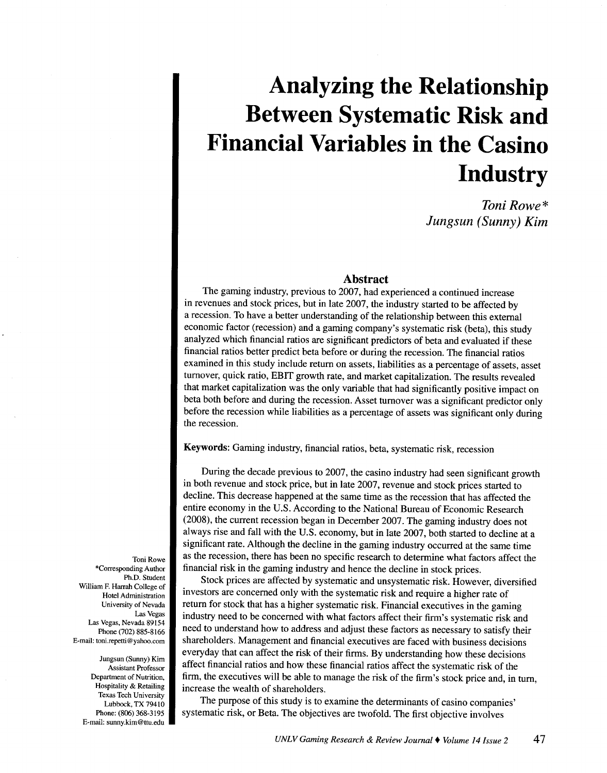# **Analyzing the Relationship Between Systematic Risk and Financial Variables in the Casino Industry**

*Toni Rowe\* Jungsun (Sunny) Kim* 

# **Abstract**

The gaming industry, previous to 2007, had experienced a continued increase in revenues and stock prices, but in late 2007, the industry started to be affected by a recession. To have a better understanding of the relationship between this external economic factor (recession) and a gaming company's systematic risk (beta), this study analyzed which financial ratios are significant predictors of beta and evaluated if these financial ratios better predict beta before or during the recession. The financial ratios examined in this study include return on assets, liabilities as a percentage of assets, asset turnover, quick ratio, EBIT growth rate, and market capitalization. The results revealed that market capitalization was the only variable that had significantly positive impact on beta both before and during the recession. Asset turnover was a significant predictor only before the recession while liabilities as a percentage of assets was significant only during the recession.

Keywords: Gaming industry, financial ratios, beta, systematic risk, recession

During the decade previous to 2007, the casino industry had seen significant growth in both revenue and stock price, but in late 2007, revenue and stock prices started to decline. This decrease happened at the same time as the recession that has affected the entire economy in the U.S. According to the National Bureau of Economic Research (2008), the current recession began in December 2007. The gaming industry does not always rise and fall with the U.S. economy, but in late 2007, both started to decline at a significant rate. Although the decline in the gaming industry occurred at the same time as the recession, there has been no specific research to determine what factors affect the financial risk in the gaming industry and hence the decline in stock prices.

Stock prices are affected by systematic and unsystematic risk. However, diversified investors are concerned only with the systematic risk and require a higher rate of return for stock that has a higher systematic risk. Financial executives in the gaming industry need to be concerned with what factors affect their firm's systematic risk and need to understand how to address and adjust these factors as necessary to satisfy their shareholders. Management and financial executives are faced with business decisions everyday that can affect the risk of their firms. By understanding how these decisions affect financial ratios and how these financial ratios affect the systematic risk of the firm, the executives will be able to manage the risk of the firm's stock price and, in tum, increase the wealth of shareholders.

The purpose of this study is to examine the determinants of casino companies' systematic risk, or Beta. The objectives are twofold. The first objective involves

Toni Rowe \*Corresponding Author Ph.D. Student William F. Harrah College of Hotel Administration University of Nevada Las Vegas Las Vegas, Nevada 89154 Phone (702) 885-8166 E-mail: toni.repetti @yahoo.com

Jungsun (Sunny) Kim Assistant Professor Department of Nutrition, Hospitality & Retailing Texas Tech University Lubbock, TX 79410 Phone: (806) 368-3195 E-mail: sunny.kim@ttu.edu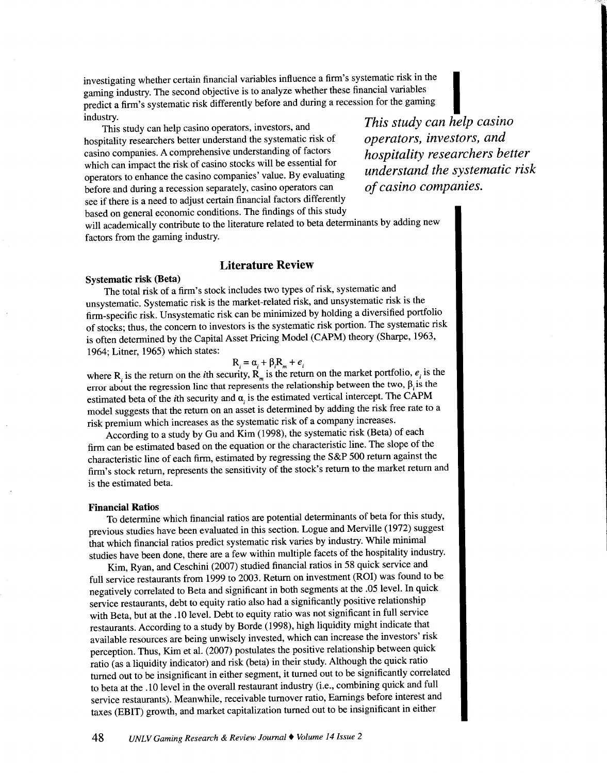investigating whether certain financial variables influence a firm's systematic risk in the gaming industry. The second objective is to analyze whether these financial variables predict a firm's systematic risk differently before and during a recession for the gaming investigating whether certain financial variables influence a firm's systematic risk in the gaming industry. The second objective is to analyze whether these financial variables<br>predict a firm's systematic risk differently

This study can help casino operators, investors, and hospitality researchers better understand the systematic risk of casino companies. A comprehensive understanding of factors which can impact the risk of casino stocks will be essential for operators to enhance the casino companies' value. By evaluating before and during a recession separately, casino operators can see if there is a need to adjust certain financial factors differently based on general economic conditions. The findings of this study

*This study can help casino operators, investors, and hospitality researchers better understand the systematic risk of casino companies.* 

will academically contribute to the literature related to beta determinants by adding new factors from the gaming industry.

# Literature Review

#### Systematic risk (Beta)

The total risk of a firm's stock includes two types of risk, systematic and unsystematic. Systematic risk is the market-related risk, and unsystematic risk is the firm-specific risk. Unsystematic risk can be minimized by holding a diversified portfolio of stocks; thus, the concern to investors is the systematic risk portion. The systematic risk is often determined by the Capital Asset Pricing Model (CAPM) theory (Sharpe, 1963, 1964; Litner, 1965) which states:

$$
R_i = \alpha_i + \beta_i R_m + e_i
$$

where R<sub>i</sub> is the return on the *i*th security,  $R_m$  is the return on the market portfolio,  $e_i$  is the error about the regression line that represents the relationship between the two,  $\beta$  is the estimated beta of the *i*th security and  $\alpha$ , is the estimated vertical intercept. The CAPM model suggests that the return on an asset is determined by adding the risk free rate to a risk premium which increases as the systematic risk of a company increases.

According to a study by Gu and Kim (1998), the systematic risk (Beta) of each firm can be estimated based on the equation or the characteristic line. The slope of the characteristic line of each firm, estimated by regressing the S&P 500 return against the firm's stock return, represents the sensitivity of the stock's return to the market return and is the estimated beta.

#### Financial Ratios

To determine which financial ratios are potential determinants of beta for this study, previous studies have been evaluated in this section. Logue and Merville (1972) suggest that which financial ratios predict systematic risk varies by industry. While minimal studies have been done, there are a few within multiple facets of the hospitality industry.

Kim, Ryan, and Ceschini (2007) studied financial ratios in 58 quick service and full service restaurants from 1999 to 2003. Return on investment (ROI) was found to be negatively correlated to Beta and significant in both segments at the .05 level. In quick service restaurants, debt to equity ratio also had a significantly positive relationship with Beta, but at the .10 level. Debt to equity ratio was not significant in full service restaurants. According to a study by Borde (1998), high liquidity might indicate that available resources are being unwisely invested, which can increase the investors' risk perception. Thus, Kim et al. (2007) postulates the positive relationship between quick ratio (as a liquidity indicator) and risk (beta) in their study. Although the quick ratio turned out to be insignificant in either segment, it turned out to be significantly correlated to beta at the .10 level in the overall restaurant industry (i.e., combining quick and full service restaurants). Meanwhile, receivable turnover ratio, Earnings before interest and taxes (EBIT) growth, and market capitalization turned out to be insignificant in either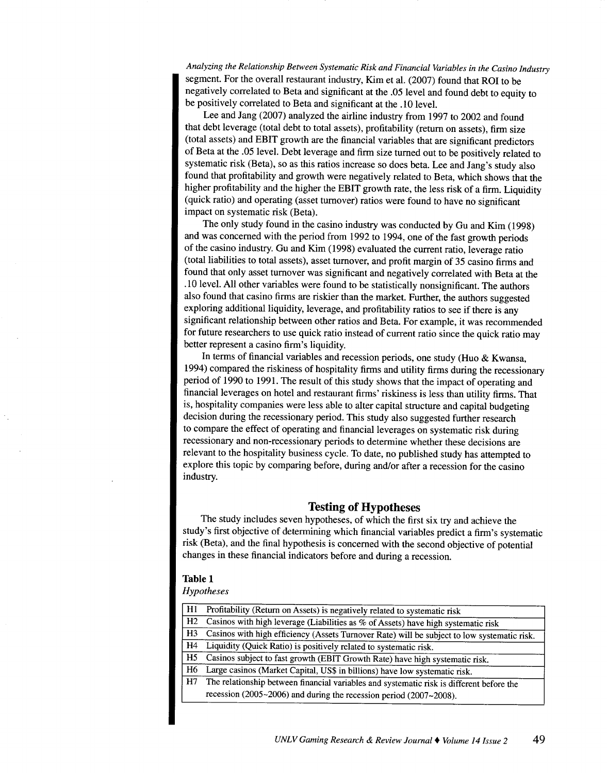*Analyzing the Relationship Between Systematic Risk and Financial Variables in the Casino Industry*  segment. For the overall restaurant industry, Kim et al. (2007) found that ROI to be negatively correlated to Beta and significant at the .05 level and found debt to equity to be positively correlated to Beta and significant at the .10 level.

Lee and Jang (2007) analyzed the airline industry from 1997 to 2002 and found that debt leverage (total debt to total assets), profitability (return on assets), firm size (total assets) and EBIT growth are the financial variables that are significant predictors of Beta at the .05 level. Debt leverage and firm size turned out to be positively related to systematic risk (Beta), so as this ratios increase so does beta. Lee and Jang's study also found that profitability and growth were negatively related to Beta, which shows that the higher profitability and the higher the EBIT growth rate, the less risk of a firm. Liquidity (quick ratio) and operating (asset turnover) ratios were found to have no significant impact on systematic risk (Beta).

The only study found in the casino industry was conducted by Gu and Kim (1998) and was concerned with the period from 1992 to 1994, one of the fast growth periods of the casino industry. Gu and Kim (1998) evaluated the current ratio, leverage ratio (total liabilities to total assets), asset turnover, and profit margin of 35 casino firms and found that only asset turnover was significant and negatively correlated with Beta at the .10 level. All other variables were found to be statistically nonsignificant. The authors also found that casino firms are riskier than the market. Further, the authors suggested exploring additional liquidity, leverage, and profitability ratios to see if there is any significant relationship between other ratios and Beta. For example, it was recommended for future researchers to use quick ratio instead of current ratio since the quick ratio may better represent a casino firm's liquidity.

In terms of financial variables and recession periods, one study (Huo  $\&$  Kwansa, 1994) compared the riskiness of hospitality firms and utility firms during the recessionary period of 1990 to 1991. The result of this study shows that the impact of operating and financial leverages on hotel and restaurant firms' riskiness is less than utility firms. That is, hospitality companies were less able to alter capital structure and capital budgeting decision during the recessionary period. This study also suggested further research to compare the effect of operating and financial leverages on systematic risk during recessionary and non-recessionary periods to determine whether these decisions are relevant to the hospitality business cycle. To date, no published study has attempted to explore this topic by comparing before, during and/or after a recession for the casino industry.

# **Testing of Hypotheses**

The study includes seven hypotheses, of which the first six try and achieve the study's first objective of determining which financial variables predict a firm's systematic risk (Beta), and the final hypothesis is concerned with the second objective of potential changes in these financial indicators before and during a recession.

#### **Table 1**

#### *Hypotheses*

| H1 | Profitability (Return on Assets) is negatively related to systematic risk                   |
|----|---------------------------------------------------------------------------------------------|
| H2 | Casinos with high leverage (Liabilities as % of Assets) have high systematic risk           |
| H3 | Casinos with high efficiency (Assets Turnover Rate) will be subject to low systematic risk. |
|    | H4 Liquidity (Quick Ratio) is positively related to systematic risk.                        |
|    | H5  Casinos subject to fast growth (EBIT Growth Rate) have high systematic risk.            |
| H6 | Large casinos (Market Capital, US\$ in billions) have low systematic risk.                  |
| H7 | The relationship between financial variables and systematic risk is different before the    |
|    | recession (2005 $\sim$ 2006) and during the recession period (2007 $\sim$ 2008).            |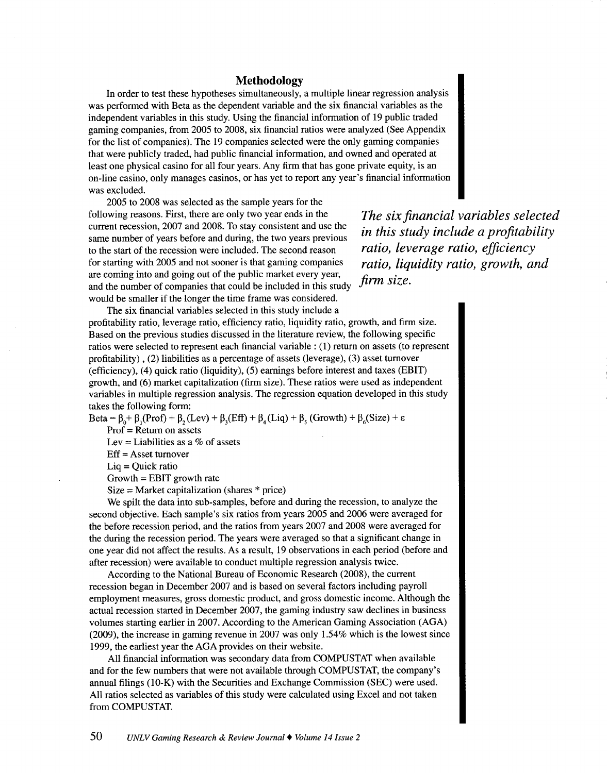# **Methodology**

In order to test these hypotheses simultaneously, a multiple linear regression analysis was performed with Beta as the dependent variable and the six financial variables as the independent variables in this study. Using the financial information of 19 public traded gaming companies, from 2005 to 2008, six financial ratios were analyzed (See Appendix for the list of companies). The 19 companies selected were the only gaming companies that were publicly traded, had public financial information, and owned and operated at least one physical casino for all four years. Any firm that has gone private equity, is an on-line casino, only manages casinos, or has yet to report any year's financial information was excluded.

2005 to 2008 was selected as the sample years for the following reasons. First, there are only two year ends in the current recession, 2007 and 2008. To stay consistent and use the same number of years before and during, the two years previous to the start of the recession were included. The second reason for starting with 2005 and not sooner is that gaming companies are coming into and going out of the public market every year, and the number of companies that could be included in this study would be smaller if the longer the time frame was considered.

*The six financial variables selected in this study include a profitability ratio, leverage ratio, efficiency ratio, liquidity ratio, growth, and firm size.* 

The six financial variables selected in this study include a profitability ratio, leverage ratio, efficiency ratio, liquidity ratio, growth, and firm size. Based on the previous studies discussed in the literature review, the following specific ratios were selected to represent each financial variable : (1) return on assets (to represent profitability), (2) liabilities as a percentage of assets (leverage), (3) asset turnover (efficiency), (4) quick ratio (liquidity), (5) earnings before interest and taxes (EBIT) growth, and (6) market capitalization (firm size). These ratios were used as independent variables in multiple regression analysis. The regression equation developed in this study takes the following form:

 $\text{Beta} = \beta_0 + \beta_1 (\text{Prof}) + \beta_2 (\text{Lev}) + \beta_3 (\text{Eff}) + \beta_4 (\text{Liq}) + \beta_5 (\text{Growth}) + \beta_6 (\text{Size}) + \epsilon$ Prof= Return on assets

Lev = Liabilities as a  $\%$  of assets

Eff = Asset turnover

Liq = Quick ratio

 $Growth = EBIT$  growth rate

 $Size = Market capitalization (shares * price)$ 

We spilt the data into sub-samples, before and during the recession, to analyze the second objective. Each sample's six ratios from years 2005 and 2006 were averaged for the before recession period, and the ratios from years 2007 and 2008 were averaged for the during the recession period. The years were averaged so that a significant change in one year did not affect the results. As a result, 19 observations in each period (before and after recession) were available to conduct multiple regression analysis twice.

According to the National Bureau of Economic Research (2008), the current recession began in December 2007 and is based on several factors including payroll employment measures, gross domestic product, and gross domestic income. Although the actual recession started in December 2007, the gaming industry saw declines in business volumes starting earlier in 2007. According to the American Gaming Association (AGA) (2009), the increase in gaming revenue in 2007 was only 1.54% which is the lowest since 1999, the earliest year the AGA provides on their website.

All financial information was secondary data from COMPUSTAT when available and for the few numbers that were not available through COMPUSTAT, the company's annual filings (10-K) with the Securities and Exchange Commission (SEC) were used. All ratios selected as variables of this study were calculated using Excel and not taken from COMPUSTAT.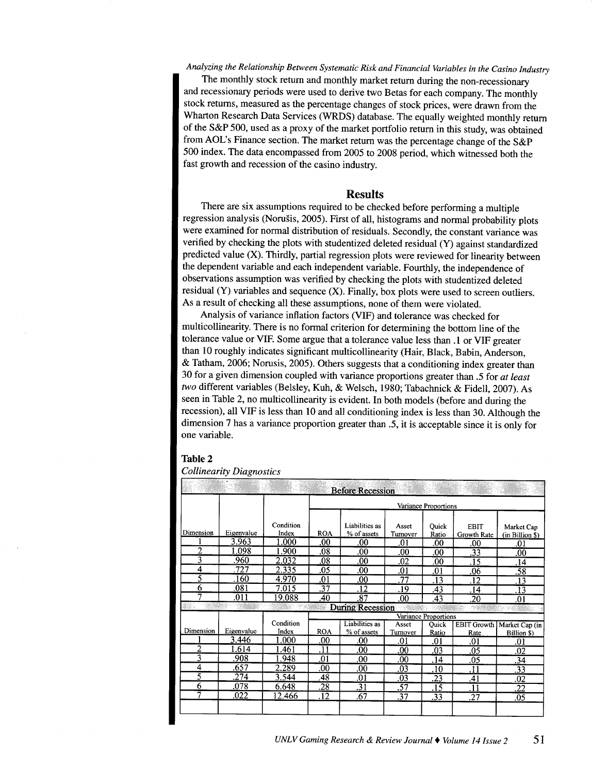# *Analyzing the Relationship Between Systematic Risk and Financial Variables in the Casino Industry*

The monthly stock return and monthly market return during the non-recessionary and recessionary periods were used to derive two Betas for each company. The monthly stock returns, measured as the percentage changes of stock prices, were drawn from the Wharton Research Data Services (WRDS) database. The equally weighted monthly return of the S&P 500, used as a proxy of the market portfolio return in this study, was obtained from AOL's Finance section. The market return was the percentage change of the S&P 500 index. The data encompassed from 2005 to 2008 period, which witnessed both the fast growth and recession of the casino industry.

#### **Results**

There are six assumptions required to be checked before performing a multiple regression analysis (Norusis, 2005). First of all, histograms and normal probability plots were examined for normal distribution of residuals. Secondly, the constant variance was verified by checking the plots with studentized deleted residual (Y) against standardized predicted value (X). Thirdly, partial regression plots were reviewed for linearity between the dependent variable and each independent variable. Fourthly, the independence of observations assumption was verified by checking the plots with studentized deleted residual (Y) variables and sequence (X). Finally, box plots were used to screen outliers. As a result of checking all these assumptions, none of them were violated.

Analysis of variance inflation factors (VIF) and tolerance was checked for multicollinearity. There is no formal criterion for determining the bottom line of the tolerance value or VIF. Some argue that a tolerance value less than **.1** or VIF greater than 10 roughly indicates significant multicollinearity (Hair, Black, Babin, Anderson, & Tatham, 2006; Norusis, 2005). Others suggests that a conditioning index greater than 30 for a given dimension coupled with variance proportions greater than .5 for *at least two* different variables (Belsley, Kuh, & Welsch, 1980; Tabachnick & Fidell, 2007). As seen in Table 2, no multicollinearity is evident. In both models (before and during the recession), all VIF is less than 10 and all conditioning index is less than 30. Although the dimension 7 has a variance proportion greater than .5, it is acceptable since it is only for one variable.

#### **Table 2**

#### *Collinearity Diagnostics*

|           |            |                    |                 | <b>Before Recession</b>       |                   |                      |                            |                               |
|-----------|------------|--------------------|-----------------|-------------------------------|-------------------|----------------------|----------------------------|-------------------------------|
|           |            |                    |                 |                               |                   | Variance Proportions |                            |                               |
| Dimension | Eigenvalue | Condition<br>Index | <b>ROA</b>      | Liabilities as<br>% of assets | Asset<br>Turnover | Ouick<br>Ratio       | <b>EBIT</b><br>Growth Rate | Market Cap<br>(in Billion \$) |
|           | 3.963      | 1.000              | .00             | .00                           | .01               | .00                  | .00                        | .01                           |
| 2         | 1.098      | 1.900              | .08             | .00                           | .00               | .00                  | .33                        | $_{.00}$                      |
| 3         | .960       | 2.032              | .08             | .00                           | .02               | .00                  | .15                        | .14                           |
| 4         | .727       | 2.335              | .05             | .00                           | .01               | .01                  | .06                        | .58                           |
| Ŝ         | .160       | 4.970              | .01             | .00                           | .77               | .13                  | .12                        | .13                           |
| 6         | .081       | 7.015              | .37             | .12                           | .19               | .43                  | .14                        | .13                           |
| 7         | .011       | 19.088             | .40             | .87                           | .00               | .43                  | .20                        | .01                           |
| 缪汉        |            |                    |                 | <b>During Recession</b>       |                   |                      |                            |                               |
|           |            |                    |                 |                               |                   | Variance Proportions |                            |                               |
|           |            | Condition          |                 | Liabilities as                | Asset             | Ouick                | EBIT Growth                | Market Cap (in                |
| Dimension | Eigenvalue | Index              | <b>ROA</b>      | % of assets                   | Turnover          | Ratio                | Rate                       | Billion \$)                   |
|           | 3.446      | 1.000              | .00             | .00                           | .01               | .01                  | .01                        | .01                           |
| 2         | 1.614      | .461               | $\overline{11}$ | .00                           | $_{.00}$          | .03                  | .05                        | .02                           |
| 3         | .908       | 1.948              | .01             | $_{.00}$                      | .00               | .14                  | .05                        | .34                           |
| 4         | .657       | 2.289              | .00             | .00                           | .03               | .10                  | .11                        | .33                           |
| 5         | 274        | 3.544              | .48             | .01                           | .03               | .23                  | .41                        | .02                           |
| 6         | .078       | 6.648              | .28             | .31                           | .57               | .15                  | .11                        | .22                           |
| 7         | .022       | 12.466             | .12             | .67                           | .37               | .33                  | .27                        | .05                           |
|           |            |                    |                 |                               |                   |                      |                            |                               |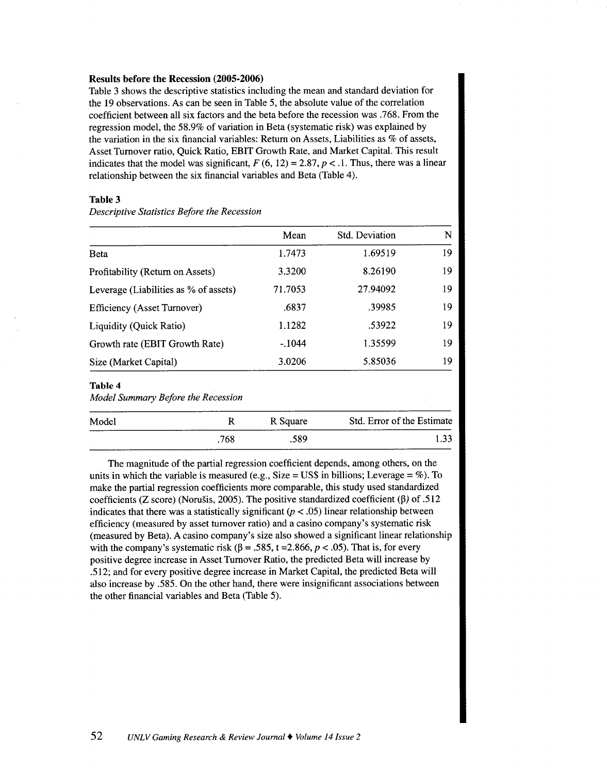#### **Results before the Recession (2005-2006)**

Table 3 shows the descriptive statistics including the mean and standard deviation for the 19 observations. As can be seen in Table 5, the absolute value of the correlation coefficient between all six factors and the beta before the recession was .768. From the regression model, the 58.9% of variation in Beta (systematic risk) was explained by the variation in the six financial variables: Return on Assets, Liabilities as % of assets, Asset Turnover ratio, Quick Ratio, EBIT Growth Rate, and Market Capital. This result indicates that the model was significant,  $F (6, 12) = 2.87, p < 1$ . Thus, there was a linear relationship between the six financial variables and Beta (Table 4).

# **Table 3**

*Descriptive Statistics Before the Recession* 

|                                       | Mean     | <b>Std. Deviation</b> | N  |
|---------------------------------------|----------|-----------------------|----|
| <b>Beta</b>                           | 1.7473   | 1.69519               | 19 |
| Profitability (Return on Assets)      | 3.3200   | 8.26190               | 19 |
| Leverage (Liabilities as % of assets) | 71.7053  | 27.94092              | 19 |
| <b>Efficiency (Asset Turnover)</b>    | .6837    | .39985                | 19 |
| Liquidity (Quick Ratio)               | 1.1282   | .53922                | 19 |
| Growth rate (EBIT Growth Rate)        | $-.1044$ | 1.35599               | 19 |
| Size (Market Capital)                 | 3.0206   | 5.85036               | 19 |

#### **Table 4**

*Model Summary Before the Recession* 

| Model |     | R Square | Std. Error of the Estimate |
|-------|-----|----------|----------------------------|
|       | 768 | .589     | ____                       |

The magnitude of the partial regression coefficient depends, among others, on the units in which the variable is measured (e.g., Size =  $\text{US$}$ ) in billions; Leverage = %). To make the partial regression coefficients more comparable, this study used standardized coefficients (Z score) (Norušis, 2005). The positive standardized coefficient ( $\beta$ ) of .512 indicates that there was a statistically significant  $(p < .05)$  linear relationship between efficiency (measured by asset turnover ratio) and a casino company's systematic risk (measured by Beta). A casino company's size also showed a significant linear relationship with the company's systematic risk ( $\beta$  = .585, t = 2.866, p < .05). That is, for every positive degree increase in Asset Turnover Ratio, the predicted Beta will increase by .512; and for every positive degree increase in Market Capital, the predicted Beta will also increase by .585. On the other hand, there were insignificant associations between the other financial variables and Beta (Table 5).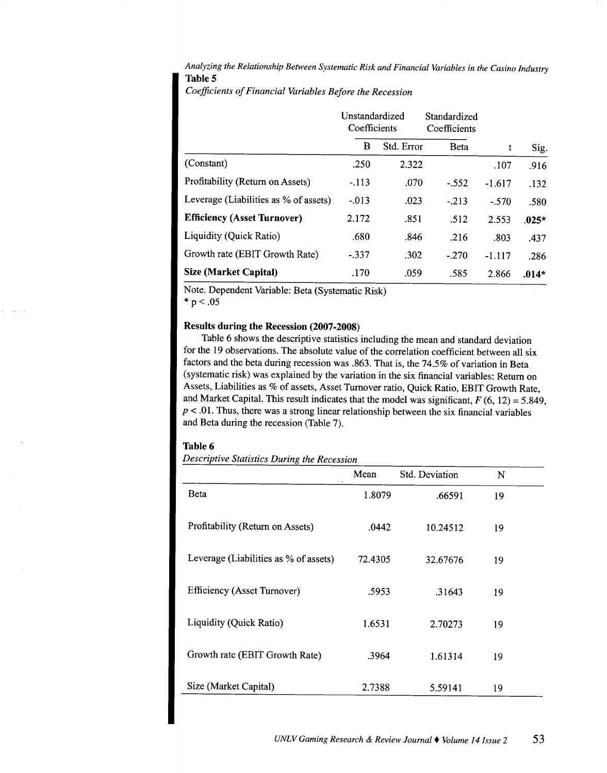*Analyzing the Relationship Between Systematic Risk and Financial Variables in the Casino Industry*  Table 5

*Coefficients of Financial Variables Before the Recession* 

|                                       | Unstandardized<br>Coefficients |            | Standardized<br>Coefficients |          |         |
|---------------------------------------|--------------------------------|------------|------------------------------|----------|---------|
|                                       | в                              | Std. Error | <b>B</b> eta                 | t        | Sig.    |
| (Constant)                            | .250                           | 2.322      |                              | .107     | .916    |
| Profitability (Return on Assets)      | $-.113$                        | .070       | $-.552$                      | $-1.617$ | .132    |
| Leverage (Liabilities as % of assets) | $-0.013$                       | .023       | $-213$                       | $-.570$  | .580    |
| <b>Efficiency (Asset Turnover)</b>    | 2.172                          | .851       | .512                         | 2.553    | $.025*$ |
| Liquidity (Quick Ratio)               | .680                           | .846       | .216                         | .803     | .437    |
| Growth rate (EBIT Growth Rate)        | $-337$                         | .302       | $-.270$                      | $-1.117$ | .286    |
| <b>Size (Market Capital)</b>          | .170                           | .059       | .585                         | 2.866    | $.014*$ |

Note. Dependent Variable: Beta (Systematic Risk)

 $* p < .05$ 

 $\bar{\mathcal{A}}$  .

#### Results during the Recession (2007-2008)

Table 6 shows the descriptive statistics including the mean and standard deviation for the 19 observations. The absolute value of the correlation coefficient between all six factors and the beta during recession was .863. That is, the 74.5% of variation in Beta (systematic risk) was explained by the variation in the six financial variables: Return on Assets, Liabilities as % of assets, Asset Turnover ratio, Quick Ratio, EBIT Growth Rate, and Market Capital. This result indicates that the model was significant,  $F(6, 12) = 5.849$ ,  $p < .01$ . Thus, there was a strong linear relationship between the six financial variables and Beta during the recession (Table 7).

#### Table 6

*Descriptive Statistics During the Recession* 

|                                       | Mean    | Std. Deviation | N  |  |
|---------------------------------------|---------|----------------|----|--|
| <b>Beta</b>                           | 1.8079  | .66591         | 19 |  |
| Profitability (Return on Assets)      | .0442   | 10.24512       | 19 |  |
| Leverage (Liabilities as % of assets) | 72.4305 | 32.67676       | 19 |  |
| <b>Efficiency (Asset Turnover)</b>    | .5953   | .31643         | 19 |  |
| Liquidity (Quick Ratio)               | 1.6531  | 2.70273        | 19 |  |
| Growth rate (EBIT Growth Rate)        | .3964   | 1.61314        | 19 |  |
| Size (Market Capital)                 | 2.7388  | 5.59141        | 19 |  |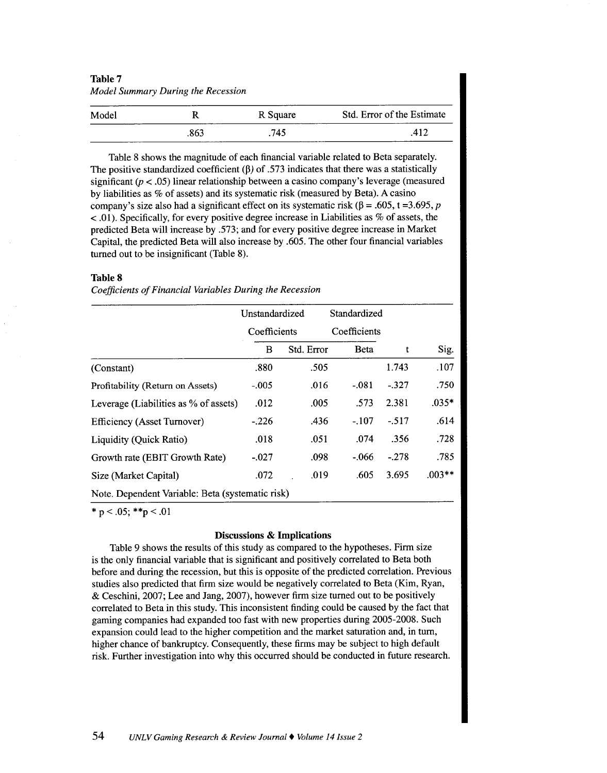| Table 7<br>Model Summary During the Recession |      |          |                            |  |  |  |
|-----------------------------------------------|------|----------|----------------------------|--|--|--|
| Model                                         | R    | R Square | Std. Error of the Estimate |  |  |  |
|                                               | .863 | .745     | .412                       |  |  |  |

Table 8 shows the magnitude of each financial variable related to Beta separately. The positive standardized coefficient ( $\beta$ ) of .573 indicates that there was a statistically significant  $(p < .05)$  linear relationship between a casino company's leverage (measured by liabilities as % of assets) and its systematic risk (measured by Beta). A casino company's size also had a significant effect on its systematic risk ( $\beta$  = .605, t =3.695, p  $<$  0.01). Specifically, for every positive degree increase in Liabilities as % of assets, the predicted Beta will increase by .573; and for every positive degree increase in Market Capital, the predicted Beta will also increase by .605. The other four financial variables turned out to be insignificant (Table 8).

#### **Table 8**

*Coefficients of Financial Variables During the Recession* 

|                                                  | Unstandardized |            | Standardized |         |          |
|--------------------------------------------------|----------------|------------|--------------|---------|----------|
|                                                  | Coefficients   |            | Coefficients |         |          |
|                                                  | B              | Std. Error | <b>B</b> eta | t       | Sig.     |
| (Constant)                                       | .880           | .505       |              | 1.743   | .107     |
| Profitability (Return on Assets)                 | $-.005$        | .016       | $-.081$      | $-.327$ | .750     |
| Leverage (Liabilities as % of assets)            | .012           | .005       | .573         | 2.381   | $.035*$  |
| Efficiency (Asset Turnover)                      | $-.226$        | .436       | $-.107$      | $-.517$ | .614     |
| Liquidity (Quick Ratio)                          | .018           | .051       | .074         | .356    | .728     |
| Growth rate (EBIT Growth Rate)                   | $-.027$        | .098       | $-.066$      | $-.278$ | .785     |
| Size (Market Capital)                            | .072           | .019       | .605         | 3.695   | $.003**$ |
| Note. Dependent Variable: Beta (systematic risk) |                |            |              |         |          |

 $*$  p < .05;  $*$  $*$ p < .01

#### **Discussions & Implications**

Table 9 shows the results of this study as compared to the hypotheses. Firm size is the only financial variable that is significant and positively correlated to Beta both before and during the recession, but this is opposite of the predicted correlation. Previous studies also predicted that firm size would be negatively correlated to Beta (Kim, Ryan, & Ceschini, 2007; Lee and Jang, 2007), however firm size turned out to be positively correlated to Beta in this study. This inconsistent finding could be caused by the fact that gaming companies had expanded too fast with new properties during 2005-2008. Such expansion could lead to the higher competition and the market saturation and, in tum, higher chance of bankruptcy. Consequently, these firms may be subject to high default risk. Further investigation into why this occurred should be conducted in future research.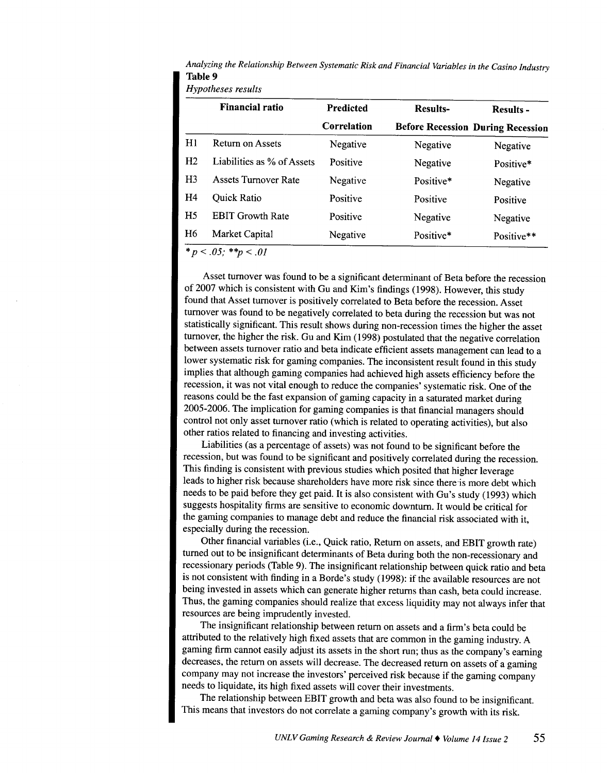*Analyzing the Relationship Between Systematic Risk and Financial Variables in the Casino Industry*  **Table 9** 

*Hypotheses results* 

|                | Financial ratio             | <b>Predicted</b> | <b>Results-</b> | <b>Results -</b>                         |
|----------------|-----------------------------|------------------|-----------------|------------------------------------------|
|                |                             | Correlation      |                 | <b>Before Recession During Recession</b> |
| H1             | Return on Assets            | Negative         | Negative        | Negative                                 |
| H <sub>2</sub> | Liabilities as % of Assets  | Positive         | Negative        | Positive*                                |
| H <sub>3</sub> | <b>Assets Turnover Rate</b> | Negative         | Positive*       | Negative                                 |
| H4             | Quick Ratio                 | Positive         | Positive        | Positive                                 |
| H <sub>5</sub> | <b>EBIT Growth Rate</b>     | Positive         | Negative        | Negative                                 |
| H <sub>6</sub> | Market Capital              | Negative         | Positive*       | Positive**                               |
|                | $*_{B} > 0$ 5. ** $> 01$    |                  |                 |                                          |

 $p < 0.05$ ;  $*_{p} < 0.01$ 

Asset turnover was found to be a significant determinant of Beta before the recession of 2007 which is consistent with Gu and Kim's findings (1998). However, this study found that Asset turnover is positively correlated to Beta before the recession. Asset turnover was found to be negatively correlated to beta during the recession but was not statistically significant. This result shows during non-recession times the higher the asset turnover, the higher the risk. Gu and Kim (1998) postulated that the negative correlation between assets turnover ratio and beta indicate efficient assets management can lead to a lower systematic risk for gaming companies. The inconsistent result found in this study implies that although gaming companies had achieved high assets efficiency before the recession, it was not vital enough to reduce the companies' systematic risk. One of the reasons could be the fast expansion of gaming capacity in a saturated market during 2005-2006. The implication for gaming companies is that financial managers should control not only asset turnover ratio (which is related to operating activities), but also other ratios related to financing and investing activities.

Liabilities (as a percentage of assets) was not found to be significant before the recession, but was found to be significant and positively correlated during the recession. This finding is consistent with previous studies which posited that higher leverage leads to higher risk because shareholders have more risk since there is more debt which needs to be paid before they get paid. It is also consistent with Gu's study (1993) which suggests hospitality firms are sensitive to economic downturn. It would be critical for the gaming companies to manage debt and reduce the financial risk associated with it, especially during the recession.

Other financial variables (i.e., Quick ratio, Return on assets, and EBIT growth rate) turned out to be insignificant determinants of Beta during both the non-recessionary and recessionary periods (Table 9). The insignificant relationship between quick ratio and beta is not consistent with finding in a Borde's study (1998): if the available resources are not being invested in assets which can generate higher returns than cash, beta could increase. Thus, the gaming companies should realize that excess liquidity may not always infer that resources are being imprudently invested.

The insignificant relationship between return on assets and a firm's beta could be attributed to the relatively high fixed assets that are common in the gaming industry. A gaming firm cannot easily adjust its assets in the short run; thus as the company's earning decreases, the return on assets will decrease. The decreased return on assets of a gaming company may not increase the investors' perceived risk because if the gaming company needs to liquidate, its high fixed assets will cover their investments.

The relationship between EBIT growth and beta was also found to be insignificant. This means that investors do not correlate a gaming company's growth with its risk.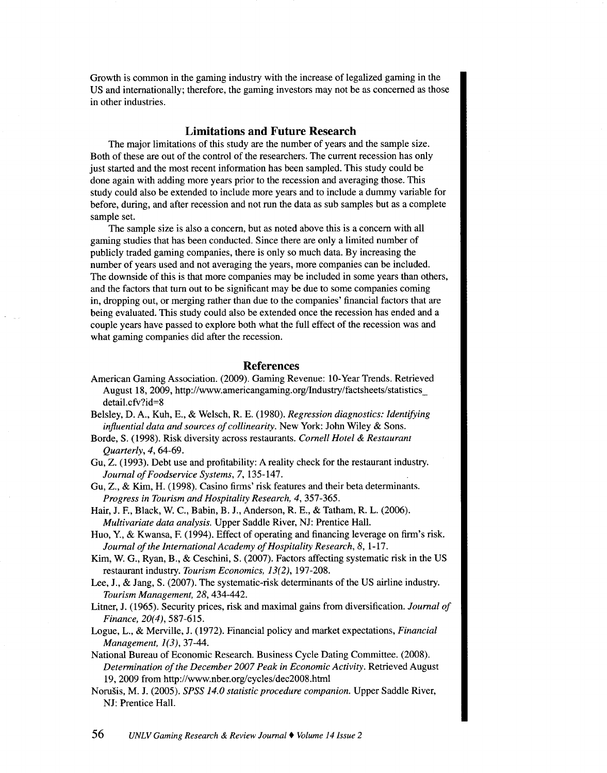Growth is common in the gaming industry with the increase of legalized gaming in the US and internationally; therefore, the gaming investors may not be as concerned as those in other industries.

# **Limitations and Future Research**

The major limitations of this study are the number of years and the sample size. Both of these are out of the control of the researchers. The current recession has only just started and the most recent information has been sampled. This study could be done again with adding more years prior to the recession and averaging those. This study could also be extended to include more years and to include a dummy variable for before, during, and after recession and not run the data as sub samples but as a complete sample set.

The sample size is also a concern, but as noted above this is a concern with all gaming studies that has been conducted. Since there are only a limited number of publicly traded gaming companies, there is only so much data. By increasing the number of years used and not averaging the years, more companies can be included. The downside of this is that more companies may be included in some years than others, and the factors that tum out to be significant may be due to some companies coming in, dropping out, or merging rather than due to the companies' financial factors that are being evaluated. This study could also be extended once the recession has ended and a couple years have passed to explore both what the full effect of the recession was and what gaming companies did after the recession.

### **References**

- American Gaming Association. (2009). Gaming Revenue: 10-Year Trends. Retrieved August 18, 2009, http://www.americangaming.org/Industry/factsheets/statistics detail.cfv?id=8
- Belsley, D. A., Kuh, E., & Welsch, R. E. (1980). *Regression diagnostics: Identifying influential data and sources of collinearity.* New York: John Wiley & Sons.
- Borde, S. (1998). Risk diversity across restaurants. *Cornell Hotel* & *Restaurant Quarterly, 4,* 64-69.
- Gu, Z. (1993). Debt use and profitability: A reality check for the restaurant industry. *Journal of Foodservice Systems,* 7, 135-147.
- Gu, Z., & Kim, H. (1998). Casino firms' risk features and their beta determinants. *Progress in Tourism and Hospitality Research, 4,* 357-365.
- Hair, J. F., Black, W. C., Babin, B. J., Anderson, R. E., & Tatham, R. L. (2006). *Multivariate data analysis.* Upper Saddle River, NJ: Prentice Hall.
- Huo, Y., & Kwansa, F. (1994). Effect of operating and financing leverage on firm's risk. Journal of the International Academy of Hospitality Research, 8, 1-17.
- Kim, W. G., Ryan, B., & Ceschini, S. (2007). Factors affecting systematic risk in the US restaurant industry. *Tourism Economics, 13(2),* 197-208.
- Lee, J., & Jang, S. (2007). The systematic-risk determinants of the US airline industry. *Tourism Management, 28,* 434-442.
- Litner, J. (1965). Security prices, risk and maximal gains from diversification. *Journal of Finance, 20(4),* 587-615.
- Logue, L., & Merville, J. (1972). Financial policy and market expectations, *Financial Management, 1(3),* 37-44.
- National Bureau of Economic Research. Business Cycle Dating Committee. (2008). *Determination of the December 2007 Peak in Economic Activity.* Retrieved August 19, 2009 from http://www.nber.org/cycles/dec2008.html
- Norusis, M. J. (2005). *SPSS 14.0 statistic procedure companion.* Upper Saddle River, NJ: Prentice Hall.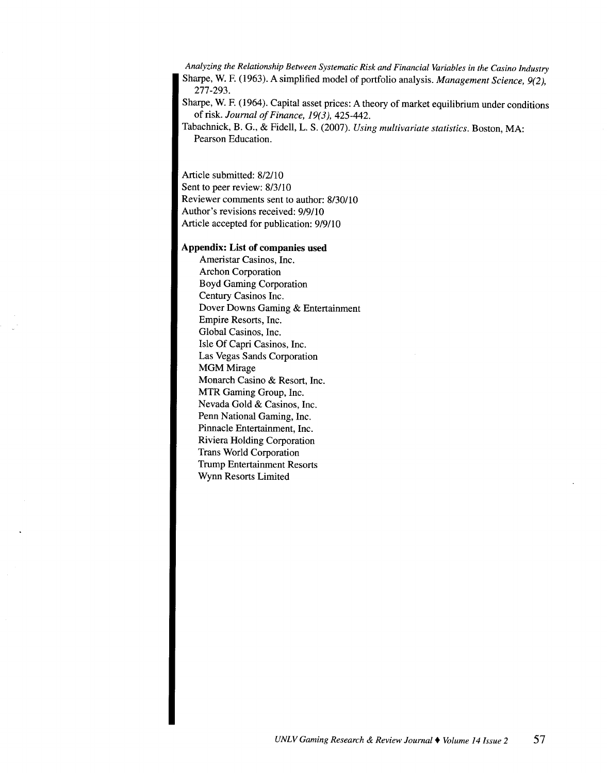*Analyzing the Relationship Between Systematic Risk and Financial Variables in the Casino Industry*  Sharpe, W. F. (1963). A simplified model of portfolio analysis. *Management Science, 9(2),*  277-293.

Sharpe, W. F. (1964). Capital asset prices: A theory of market equilibrium under conditions of risk. *Journal of Finance, 19(3),* 425-442.

Tabachnick, B. G., & Fidell, L. S. (2007). *Using multivariate statistics.* Boston, MA: Pearson Education.

Article submitted: 8/2/10 Sent to peer review: 8/3/10 Reviewer comments sent to author: 8/30/10 Author's revisions received: 9/9110 Article accepted for publication: 9/9110

#### **Appendix: List of companies used**

Ameristar Casinos, Inc. Archon Corporation Boyd Gaming Corporation Century Casinos Inc. Dover Downs Gaming & Entertainment Empire Resorts, Inc. Global Casinos, Inc. Isle Of Capri Casinos, Inc. Las Vegas Sands Corporation **MGM** Mirage Monarch Casino & Resort, Inc. MTR Gaming Group, Inc. Nevada Gold & Casinos, Inc. Penn National Gaming, Inc. Pinnacle Entertainment, Inc. Riviera Holding Corporation Trans World Corporation Trump Entertainment Resorts Wynn Resorts Limited